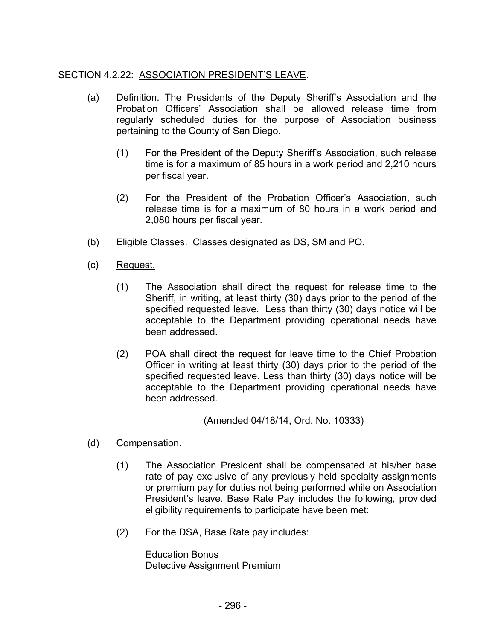## SECTION 4.2.22: ASSOCIATION PRESIDENT'S LEAVE.

- (a) Definition. The Presidents of the Deputy Sheriff's Association and the Probation Officers' Association shall be allowed release time from regularly scheduled duties for the purpose of Association business pertaining to the County of San Diego.
	- (1) For the President of the Deputy Sheriff's Association, such release time is for a maximum of 85 hours in a work period and 2,210 hours per fiscal year.
	- (2) For the President of the Probation Officer's Association, such release time is for a maximum of 80 hours in a work period and 2,080 hours per fiscal year.
- (b) Eligible Classes. Classes designated as DS, SM and PO.
- (c) Request.
	- (1) The Association shall direct the request for release time to the Sheriff, in writing, at least thirty (30) days prior to the period of the specified requested leave. Less than thirty (30) days notice will be acceptable to the Department providing operational needs have been addressed.
	- (2) POA shall direct the request for leave time to the Chief Probation Officer in writing at least thirty (30) days prior to the period of the specified requested leave. Less than thirty (30) days notice will be acceptable to the Department providing operational needs have been addressed.

(Amended 04/18/14, Ord. No. 10333)

- (d) Compensation.
	- (1) The Association President shall be compensated at his/her base rate of pay exclusive of any previously held specialty assignments or premium pay for duties not being performed while on Association President's leave. Base Rate Pay includes the following, provided eligibility requirements to participate have been met:
	- (2) For the DSA, Base Rate pay includes:

Education Bonus Detective Assignment Premium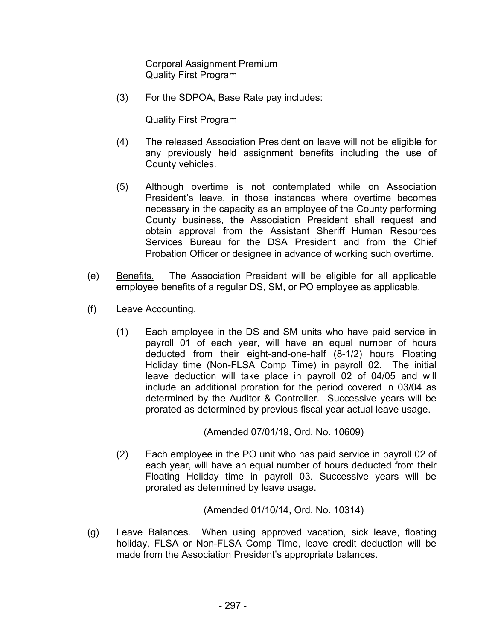Corporal Assignment Premium Quality First Program

(3) For the SDPOA, Base Rate pay includes:

Quality First Program

- (4) The released Association President on leave will not be eligible for any previously held assignment benefits including the use of County vehicles.
- (5) Although overtime is not contemplated while on Association President's leave, in those instances where overtime becomes necessary in the capacity as an employee of the County performing County business, the Association President shall request and obtain approval from the Assistant Sheriff Human Resources Services Bureau for the DSA President and from the Chief Probation Officer or designee in advance of working such overtime.
- (e) Benefits. The Association President will be eligible for all applicable employee benefits of a regular DS, SM, or PO employee as applicable.
- (f) Leave Accounting.
	- (1) Each employee in the DS and SM units who have paid service in payroll 01 of each year, will have an equal number of hours deducted from their eight-and-one-half (8-1/2) hours Floating Holiday time (Non-FLSA Comp Time) in payroll 02. The initial leave deduction will take place in payroll 02 of 04/05 and will include an additional proration for the period covered in 03/04 as determined by the Auditor & Controller. Successive years will be prorated as determined by previous fiscal year actual leave usage.

(Amended 07/01/19, Ord. No. 10609)

(2) Each employee in the PO unit who has paid service in payroll 02 of each year, will have an equal number of hours deducted from their Floating Holiday time in payroll 03. Successive years will be prorated as determined by leave usage.

(Amended 01/10/14, Ord. No. 10314)

(g) Leave Balances. When using approved vacation, sick leave, floating holiday, FLSA or Non-FLSA Comp Time, leave credit deduction will be made from the Association President's appropriate balances.